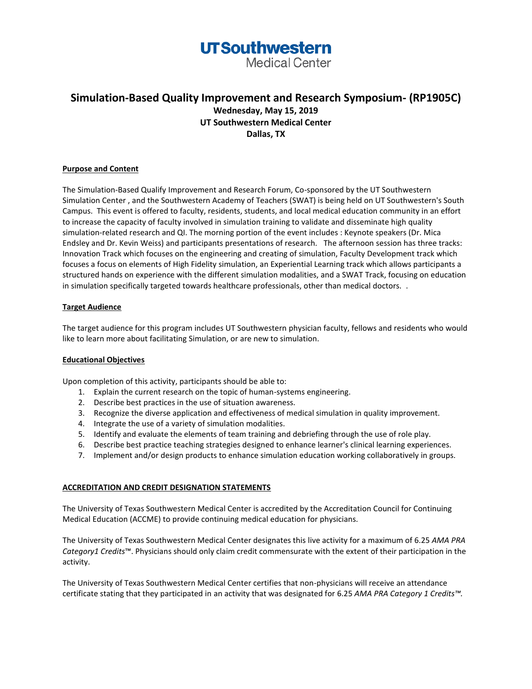**Medical Center** 

### **Simulation-Based Quality Improvement and Research Symposium- (RP1905C) Wednesday, May 15, 2019 UT Southwestern Medical Center Dallas, TX**

### **Purpose and Content**

The Simulation-Based Qualify Improvement and Research Forum, Co-sponsored by the UT Southwestern Simulation Center , and the Southwestern Academy of Teachers (SWAT) is being held on UT Southwestern's South Campus. This event is offered to faculty, residents, students, and local medical education community in an effort to increase the capacity of faculty involved in simulation training to validate and disseminate high quality simulation-related research and QI. The morning portion of the event includes : Keynote speakers (Dr. Mica Endsley and Dr. Kevin Weiss) and participants presentations of research. The afternoon session has three tracks: Innovation Track which focuses on the engineering and creating of simulation, Faculty Development track which focuses a focus on elements of High Fidelity simulation, an Experiential Learning track which allows participants a structured hands on experience with the different simulation modalities, and a SWAT Track, focusing on education in simulation specifically targeted towards healthcare professionals, other than medical doctors. .

### **Target Audience**

The target audience for this program includes UT Southwestern physician faculty, fellows and residents who would like to learn more about facilitating Simulation, or are new to simulation.

### **Educational Objectives**

Upon completion of this activity, participants should be able to:

- 1. Explain the current research on the topic of human-systems engineering.
- 2. Describe best practices in the use of situation awareness.
- 3. Recognize the diverse application and effectiveness of medical simulation in quality improvement.
- 4. Integrate the use of a variety of simulation modalities.
- 5. Identify and evaluate the elements of team training and debriefing through the use of role play.
- 6. Describe best practice teaching strategies designed to enhance learner's clinical learning experiences.
- 7. Implement and/or design products to enhance simulation education working collaboratively in groups.

### **ACCREDITATION AND CREDIT DESIGNATION STATEMENTS**

The University of Texas Southwestern Medical Center is accredited by the Accreditation Council for Continuing Medical Education (ACCME) to provide continuing medical education for physicians.

The University of Texas Southwestern Medical Center designates this live activity for a maximum of 6.25 *AMA PRA Category1 Credits*™. Physicians should only claim credit commensurate with the extent of their participation in the activity.

The University of Texas Southwestern Medical Center certifies that non-physicians will receive an attendance certificate stating that they participated in an activity that was designated for 6.25 *AMA PRA Category 1 Credits™.*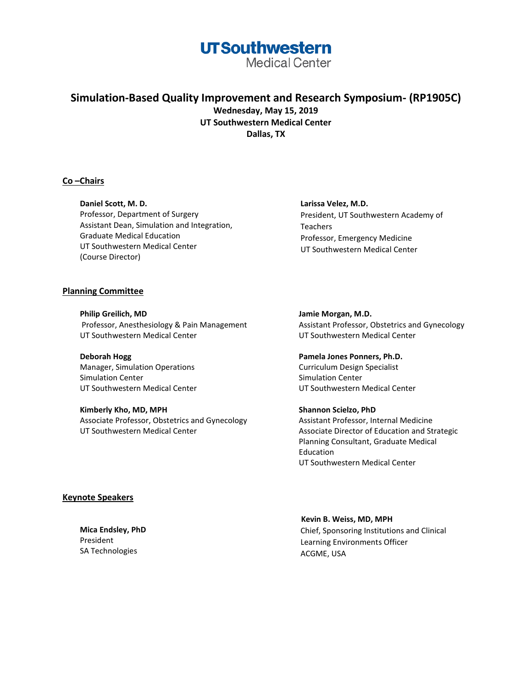**Medical Center** 

### **Simulation-Based Quality Improvement and Research Symposium- (RP1905C) Wednesday, May 15, 2019 UT Southwestern Medical Center Dallas, TX**

### **Co –Chairs**

**Daniel Scott, M. D.** Professor, Department of Surgery Assistant Dean, Simulation and Integration, Graduate Medical Education UT Southwestern Medical Center (Course Director)

### **Planning Committee**

**Philip Greilich, MD** Professor, Anesthesiology & Pain Management UT Southwestern Medical Center

**Deborah Hogg** Manager, Simulation Operations Simulation Center UT Southwestern Medical Center

**Kimberly Kho, MD, MPH** Associate Professor, Obstetrics and Gynecology UT Southwestern Medical Center

**Larissa Velez, M.D.** President, UT Southwestern Academy of **Teachers** Professor, Emergency Medicine UT Southwestern Medical Center

**Jamie Morgan, M.D.** Assistant Professor, Obstetrics and Gynecology UT Southwestern Medical Center

**Pamela Jones Ponners, Ph.D.** Curriculum Design Specialist Simulation Center UT Southwestern Medical Center

**Shannon Scielzo, PhD** Assistant Professor, Internal Medicine Associate Director of Education and Strategic Planning Consultant, Graduate Medical Education UT Southwestern Medical Center

### **Keynote Speakers**

**Mica Endsley, PhD** President SA Technologies

 **Kevin B. Weiss, MD, MPH** Chief, Sponsoring Institutions and Clinical Learning Environments Officer ACGME, USA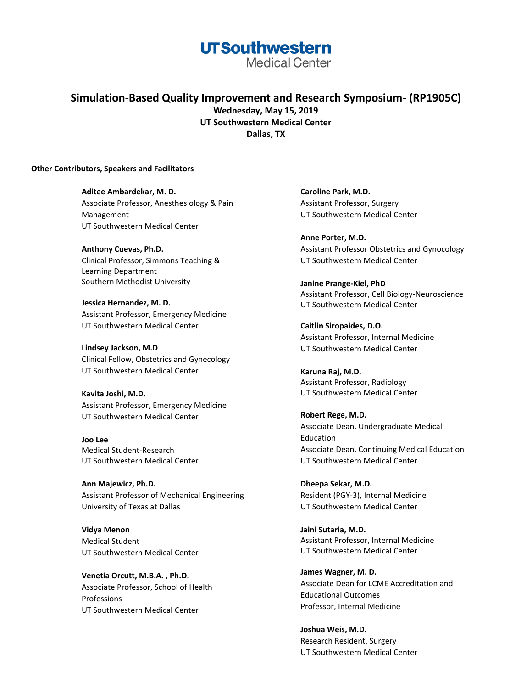**Medical Center** 

**Simulation-Based Quality Improvement and Research Symposium- (RP1905C) Wednesday, May 15, 2019 UT Southwestern Medical Center Dallas, TX**

### **Other Contributors, Speakers and Facilitators**

**Aditee Ambardekar, M. D.** Associate Professor, Anesthesiology & Pain Management UT Southwestern Medical Center

**Anthony Cuevas, Ph.D.** Clinical Professor, Simmons Teaching & Learning Department Southern Methodist University

**Jessica Hernandez, M. D.** Assistant Professor, Emergency Medicine UT Southwestern Medical Center

**Lindsey Jackson, M.D**. Clinical Fellow, Obstetrics and Gynecology UT Southwestern Medical Center

**Kavita Joshi, M.D.** Assistant Professor, Emergency Medicine UT Southwestern Medical Center

**Joo Lee** Medical Student-Research UT Southwestern Medical Center

**Ann Majewicz, Ph.D.** Assistant Professor of Mechanical Engineering University of Texas at Dallas

**Vidya Menon** Medical Student UT Southwestern Medical Center

**Venetia Orcutt, M.B.A. , Ph.D.** Associate Professor, School of Health Professions UT Southwestern Medical Center

**Caroline Park, M.D.** Assistant Professor, Surgery UT Southwestern Medical Center

**Anne Porter, M.D.** Assistant Professor Obstetrics and Gynocology UT Southwestern Medical Center

**Janine Prange-Kiel, PhD** Assistant Professor, Cell Biology-Neuroscience UT Southwestern Medical Center

**Caitlin Siropaides, D.O.** Assistant Professor, Internal Medicine UT Southwestern Medical Center

**Karuna Raj, M.D.** Assistant Professor, Radiology UT Southwestern Medical Center

**Robert Rege, M.D.** Associate Dean, Undergraduate Medical Education Associate Dean, Continuing Medical Education UT Southwestern Medical Center

**Dheepa Sekar, M.D.** Resident (PGY-3), Internal Medicine UT Southwestern Medical Center

**Jaini Sutaria, M.D.** Assistant Professor, Internal Medicine UT Southwestern Medical Center

**James Wagner, M. D.** Associate Dean for LCME Accreditation and Educational Outcomes Professor, Internal Medicine

**Joshua Weis, M.D.** Research Resident, Surgery UT Southwestern Medical Center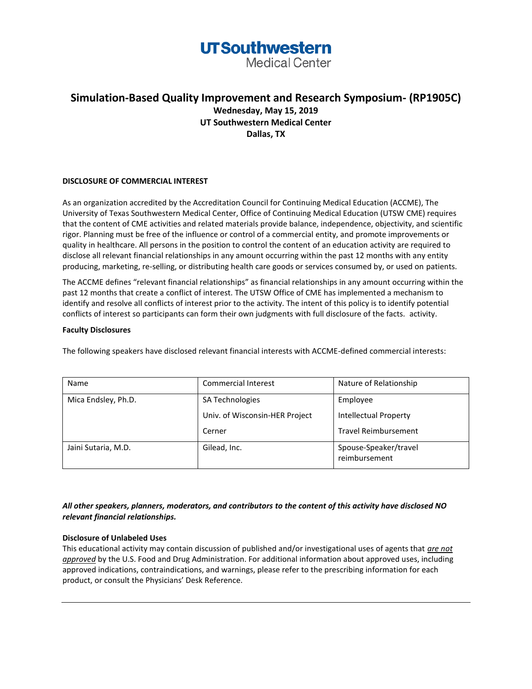**Medical Center** 

### **Simulation-Based Quality Improvement and Research Symposium- (RP1905C) Wednesday, May 15, 2019 UT Southwestern Medical Center Dallas, TX**

### **DISCLOSURE OF COMMERCIAL INTEREST**

As an organization accredited by the Accreditation Council for Continuing Medical Education (ACCME), The University of Texas Southwestern Medical Center, Office of Continuing Medical Education (UTSW CME) requires that the content of CME activities and related materials provide balance, independence, objectivity, and scientific rigor. Planning must be free of the influence or control of a commercial entity, and promote improvements or quality in healthcare. All persons in the position to control the content of an education activity are required to disclose all relevant financial relationships in any amount occurring within the past 12 months with any entity producing, marketing, re-selling, or distributing health care goods or services consumed by, or used on patients.

The ACCME defines "relevant financial relationships" as financial relationships in any amount occurring within the past 12 months that create a conflict of interest. The UTSW Office of CME has implemented a mechanism to identify and resolve all conflicts of interest prior to the activity. The intent of this policy is to identify potential conflicts of interest so participants can form their own judgments with full disclosure of the facts. activity.

### **Faculty Disclosures**

The following speakers have disclosed relevant financial interests with ACCME-defined commercial interests:

| Name                | <b>Commercial Interest</b>     | Nature of Relationship                 |
|---------------------|--------------------------------|----------------------------------------|
| Mica Endsley, Ph.D. | SA Technologies                | Employee                               |
|                     | Univ. of Wisconsin-HER Project | <b>Intellectual Property</b>           |
|                     | Cerner                         | <b>Travel Reimbursement</b>            |
| Jaini Sutaria, M.D. | Gilead, Inc.                   | Spouse-Speaker/travel<br>reimbursement |

*All other speakers, planners, moderators, and contributors to the content of this activity have disclosed NO relevant financial relationships.* 

### **Disclosure of Unlabeled Uses**

This educational activity may contain discussion of published and/or investigational uses of agents that *are not approved* by the U.S. Food and Drug Administration. For additional information about approved uses, including approved indications, contraindications, and warnings, please refer to the prescribing information for each product, or consult the Physicians' Desk Reference.